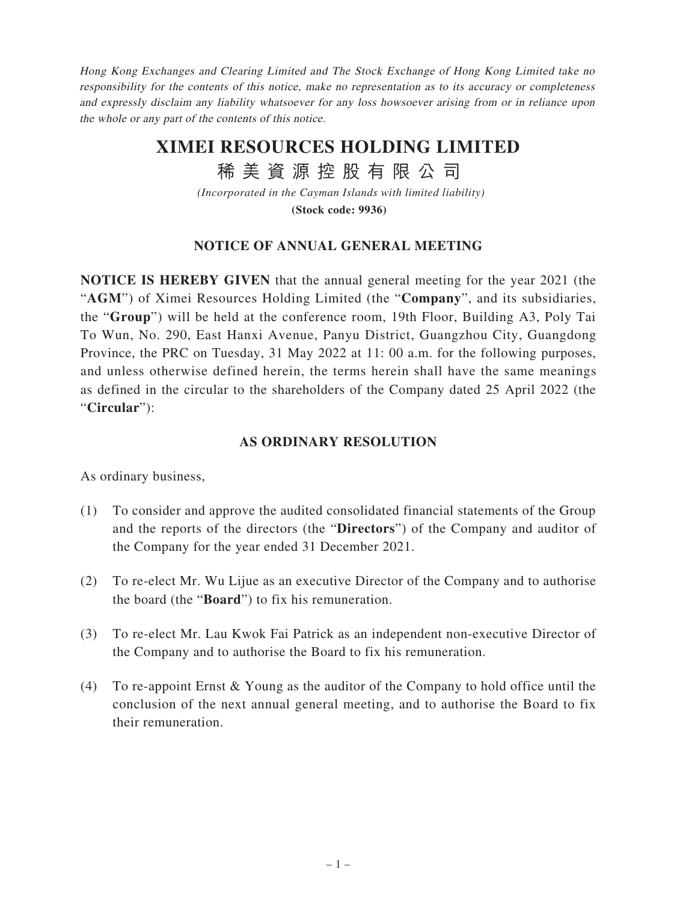Hong Kong Exchanges and Clearing Limited and The Stock Exchange of Hong Kong Limited take no responsibility for the contents of this notice, make no representation as to its accuracy or completeness and expressly disclaim any liability whatsoever for any loss howsoever arising from or in reliance upon the whole or any part of the contents of this notice.

## **XIMEI RESOURCES HOLDING LIMITED**

# 稀 美 資 源 控 股 有 限 公 司

*(Incorporated in the Cayman Islands with limited liability)* **(Stock code: 9936)**

**NOTICE OF ANNUAL GENERAL MEETING**

**NOTICE IS HEREBY GIVEN** that the annual general meeting for the year 2021 (the "**AGM**") of Ximei Resources Holding Limited (the "**Company**", and its subsidiaries, the "**Group**") will be held at the conference room, 19th Floor, Building A3, Poly Tai To Wun, No. 290, East Hanxi Avenue, Panyu District, Guangzhou City, Guangdong Province, the PRC on Tuesday, 31 May 2022 at 11: 00 a.m. for the following purposes, and unless otherwise defined herein, the terms herein shall have the same meanings as defined in the circular to the shareholders of the Company dated 25 April 2022 (the "**Circular**"):

#### **AS ORDINARY RESOLUTION**

As ordinary business,

- (1) To consider and approve the audited consolidated financial statements of the Group and the reports of the directors (the "**Directors**") of the Company and auditor of the Company for the year ended 31 December 2021.
- (2) To re-elect Mr. Wu Lijue as an executive Director of the Company and to authorise the board (the "**Board**") to fix his remuneration.
- (3) To re-elect Mr. Lau Kwok Fai Patrick as an independent non-executive Director of the Company and to authorise the Board to fix his remuneration.
- (4) To re-appoint Ernst & Young as the auditor of the Company to hold office until the conclusion of the next annual general meeting, and to authorise the Board to fix their remuneration.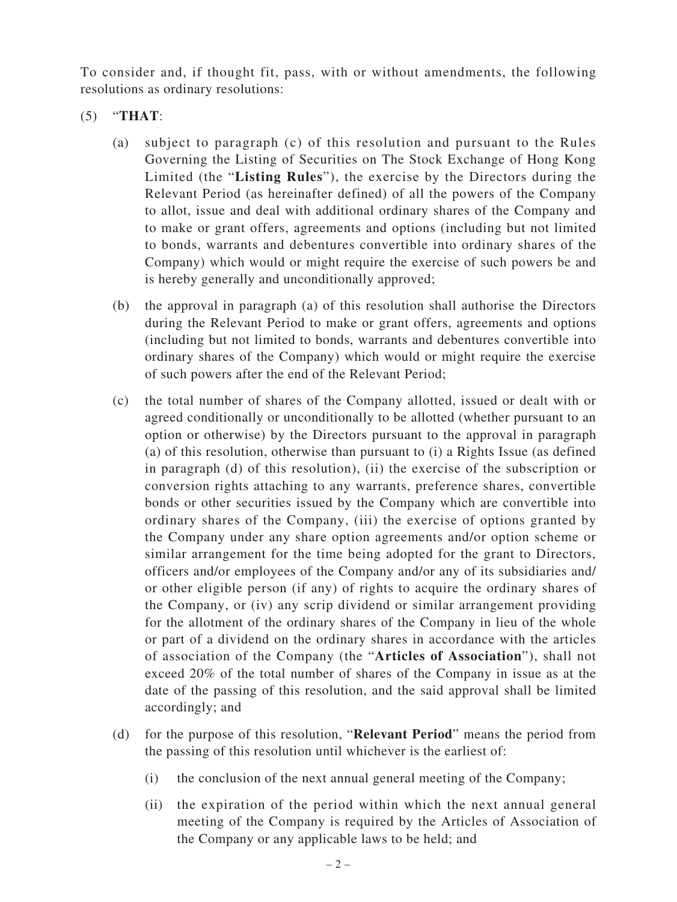To consider and, if thought fit, pass, with or without amendments, the following resolutions as ordinary resolutions:

- (5) "**THAT**:
	- (a) subject to paragraph (c) of this resolution and pursuant to the Rules Governing the Listing of Securities on The Stock Exchange of Hong Kong Limited (the "**Listing Rules**"), the exercise by the Directors during the Relevant Period (as hereinafter defined) of all the powers of the Company to allot, issue and deal with additional ordinary shares of the Company and to make or grant offers, agreements and options (including but not limited to bonds, warrants and debentures convertible into ordinary shares of the Company) which would or might require the exercise of such powers be and is hereby generally and unconditionally approved;
	- (b) the approval in paragraph (a) of this resolution shall authorise the Directors during the Relevant Period to make or grant offers, agreements and options (including but not limited to bonds, warrants and debentures convertible into ordinary shares of the Company) which would or might require the exercise of such powers after the end of the Relevant Period;
	- (c) the total number of shares of the Company allotted, issued or dealt with or agreed conditionally or unconditionally to be allotted (whether pursuant to an option or otherwise) by the Directors pursuant to the approval in paragraph (a) of this resolution, otherwise than pursuant to (i) a Rights Issue (as defined in paragraph (d) of this resolution), (ii) the exercise of the subscription or conversion rights attaching to any warrants, preference shares, convertible bonds or other securities issued by the Company which are convertible into ordinary shares of the Company, (iii) the exercise of options granted by the Company under any share option agreements and/or option scheme or similar arrangement for the time being adopted for the grant to Directors, officers and/or employees of the Company and/or any of its subsidiaries and/ or other eligible person (if any) of rights to acquire the ordinary shares of the Company, or (iv) any scrip dividend or similar arrangement providing for the allotment of the ordinary shares of the Company in lieu of the whole or part of a dividend on the ordinary shares in accordance with the articles of association of the Company (the "**Articles of Association**"), shall not exceed 20% of the total number of shares of the Company in issue as at the date of the passing of this resolution, and the said approval shall be limited accordingly; and
	- (d) for the purpose of this resolution, "**Relevant Period**" means the period from the passing of this resolution until whichever is the earliest of:
		- (i) the conclusion of the next annual general meeting of the Company;
		- (ii) the expiration of the period within which the next annual general meeting of the Company is required by the Articles of Association of the Company or any applicable laws to be held; and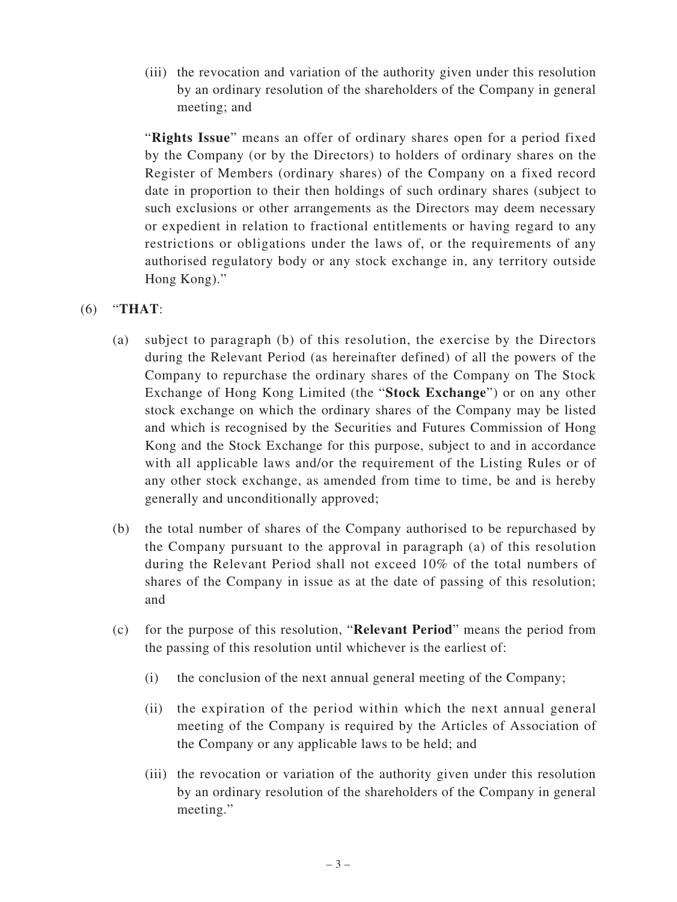(iii) the revocation and variation of the authority given under this resolution by an ordinary resolution of the shareholders of the Company in general meeting; and

"**Rights Issue**" means an offer of ordinary shares open for a period fixed by the Company (or by the Directors) to holders of ordinary shares on the Register of Members (ordinary shares) of the Company on a fixed record date in proportion to their then holdings of such ordinary shares (subject to such exclusions or other arrangements as the Directors may deem necessary or expedient in relation to fractional entitlements or having regard to any restrictions or obligations under the laws of, or the requirements of any authorised regulatory body or any stock exchange in, any territory outside Hong Kong)."

### (6) "**THAT**:

- (a) subject to paragraph (b) of this resolution, the exercise by the Directors during the Relevant Period (as hereinafter defined) of all the powers of the Company to repurchase the ordinary shares of the Company on The Stock Exchange of Hong Kong Limited (the "**Stock Exchange**") or on any other stock exchange on which the ordinary shares of the Company may be listed and which is recognised by the Securities and Futures Commission of Hong Kong and the Stock Exchange for this purpose, subject to and in accordance with all applicable laws and/or the requirement of the Listing Rules or of any other stock exchange, as amended from time to time, be and is hereby generally and unconditionally approved;
- (b) the total number of shares of the Company authorised to be repurchased by the Company pursuant to the approval in paragraph (a) of this resolution during the Relevant Period shall not exceed 10% of the total numbers of shares of the Company in issue as at the date of passing of this resolution; and
- (c) for the purpose of this resolution, "**Relevant Period**" means the period from the passing of this resolution until whichever is the earliest of:
	- (i) the conclusion of the next annual general meeting of the Company;
	- (ii) the expiration of the period within which the next annual general meeting of the Company is required by the Articles of Association of the Company or any applicable laws to be held; and
	- (iii) the revocation or variation of the authority given under this resolution by an ordinary resolution of the shareholders of the Company in general meeting."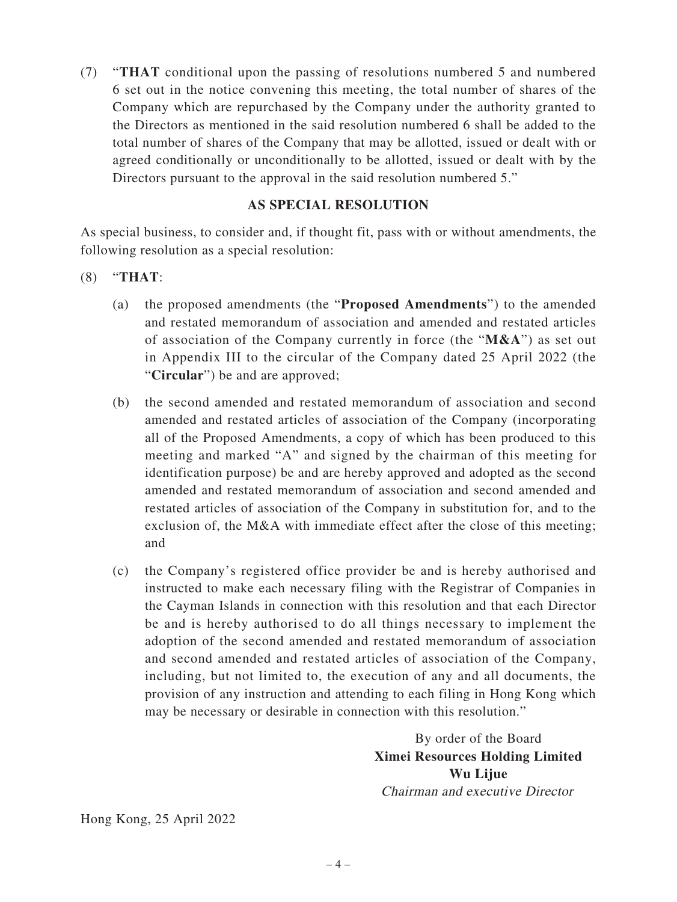(7) "**THAT** conditional upon the passing of resolutions numbered 5 and numbered 6 set out in the notice convening this meeting, the total number of shares of the Company which are repurchased by the Company under the authority granted to the Directors as mentioned in the said resolution numbered 6 shall be added to the total number of shares of the Company that may be allotted, issued or dealt with or agreed conditionally or unconditionally to be allotted, issued or dealt with by the Directors pursuant to the approval in the said resolution numbered 5."

#### **AS SPECIAL RESOLUTION**

As special business, to consider and, if thought fit, pass with or without amendments, the following resolution as a special resolution:

(8) "**THAT**:

- (a) the proposed amendments (the "**Proposed Amendments**") to the amended and restated memorandum of association and amended and restated articles of association of the Company currently in force (the "**M&A**") as set out in Appendix III to the circular of the Company dated 25 April 2022 (the "**Circular**") be and are approved;
- (b) the second amended and restated memorandum of association and second amended and restated articles of association of the Company (incorporating all of the Proposed Amendments, a copy of which has been produced to this meeting and marked "A" and signed by the chairman of this meeting for identification purpose) be and are hereby approved and adopted as the second amended and restated memorandum of association and second amended and restated articles of association of the Company in substitution for, and to the exclusion of, the M&A with immediate effect after the close of this meeting; and
- (c) the Company's registered office provider be and is hereby authorised and instructed to make each necessary filing with the Registrar of Companies in the Cayman Islands in connection with this resolution and that each Director be and is hereby authorised to do all things necessary to implement the adoption of the second amended and restated memorandum of association and second amended and restated articles of association of the Company, including, but not limited to, the execution of any and all documents, the provision of any instruction and attending to each filing in Hong Kong which may be necessary or desirable in connection with this resolution."

By order of the Board **Ximei Resources Holding Limited Wu Lijue** Chairman and executive Director

Hong Kong, 25 April 2022